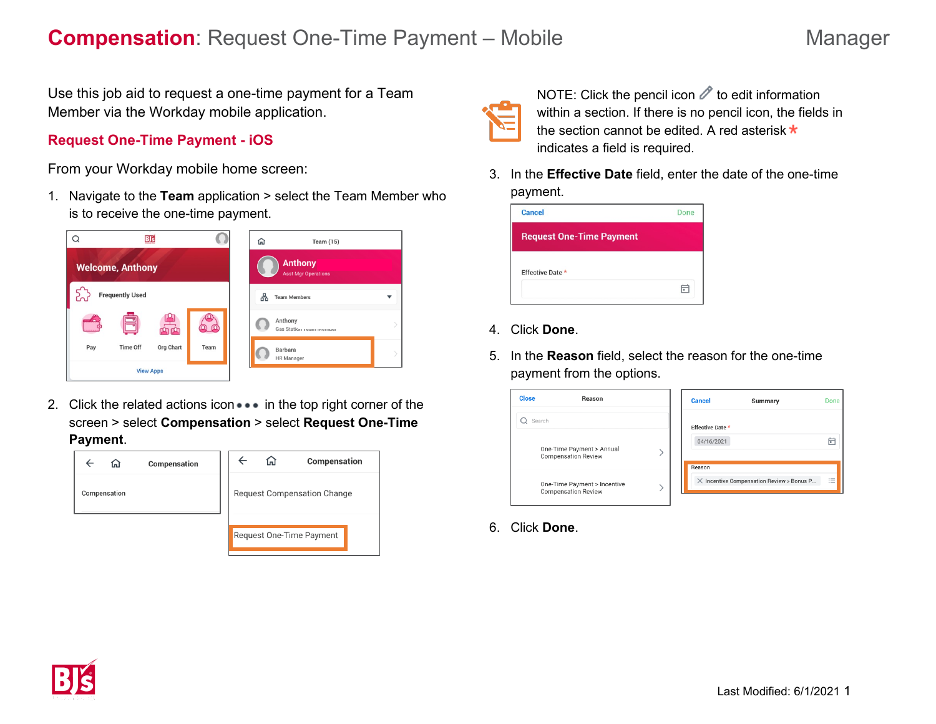Use this job aid to request a one-time payment for a Team Member via the Workday mobile application.

### **Request One-Time Payment - iOS**

From your Workday mobile home screen:

1. Navigate to the **Team** application > select the Team Member who is to receive the one-time payment.



2. Click the related actions icon  $\bullet\bullet\bullet$  in the top right corner of the screen > select **Compensation** > select **Request One-Time Payment**.





NOTE: Click the pencil icon  $\mathscr O$  to edit information within a section. If there is no pencil icon, the fields in the section cannot be edited. A red asterisk  $\star$ indicates a field is required.

3. In the **Effective Date** field, enter the date of the one-time payment.



- 4. Click **Done**.
- 5. In the **Reason** field, select the reason for the one-time payment from the options.

| <b>Close</b><br>Reason                                     | <b>Cancel</b>    | Summary                                          | Done |
|------------------------------------------------------------|------------------|--------------------------------------------------|------|
| Search                                                     | Effective Date * |                                                  |      |
| One-Time Payment > Annual<br><b>Compensation Review</b>    | 04/16/2021       |                                                  | 户    |
|                                                            | Reason           | $\times$ Incentive Compensation Review > Bonus P | 洼    |
| One-Time Payment > Incentive<br><b>Compensation Review</b> |                  |                                                  |      |

6. Click **Done**.

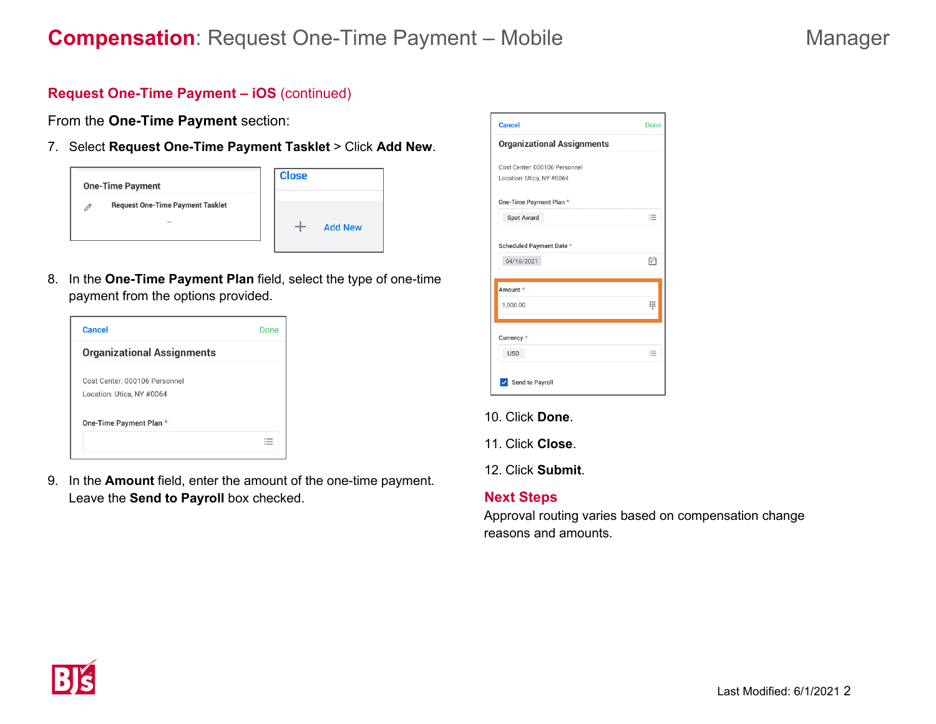# **Request One-Time Payment – iOS** (continued)

From the **One-Time Payment** section:

7. Select **Request One-Time Payment Tasklet** > Click **Add New**.



8. In the **One-Time Payment Plan** field, select the type of one-time payment from the options provided.

| <b>Cancel</b>                     | Done |
|-----------------------------------|------|
| <b>Organizational Assignments</b> |      |
| Cost Center: 000106 Personnel     |      |
| Location: Utica, NY #0064         |      |
| One-Time Payment Plan *           |      |
|                                   |      |

9. In the **Amount** field, enter the amount of the one-time payment. Leave the **Send to Payroll** box checked.

| <b>Cancel</b>                          | Done |
|----------------------------------------|------|
| <b>Organizational Assignments</b>      |      |
| Cost Center: 000106 Personnel          |      |
| Location: Utica, NY #0064              |      |
| One-Time Payment Plan *                |      |
| Spot Award                             | 這    |
| Scheduled Payment Date *<br>04/16/2021 | 甪    |
| Amount *                               |      |
| 1,000.00                               | ▦    |
| Currency *                             |      |
| <b>USD</b>                             | ≡    |
| √ Send to Payroll                      |      |

- 10. Click **Done**.
- 11. Click **Close**.

12. Click **Submit**.

### **Next Steps**

Approval routing varies based on compensation change reasons and amounts.

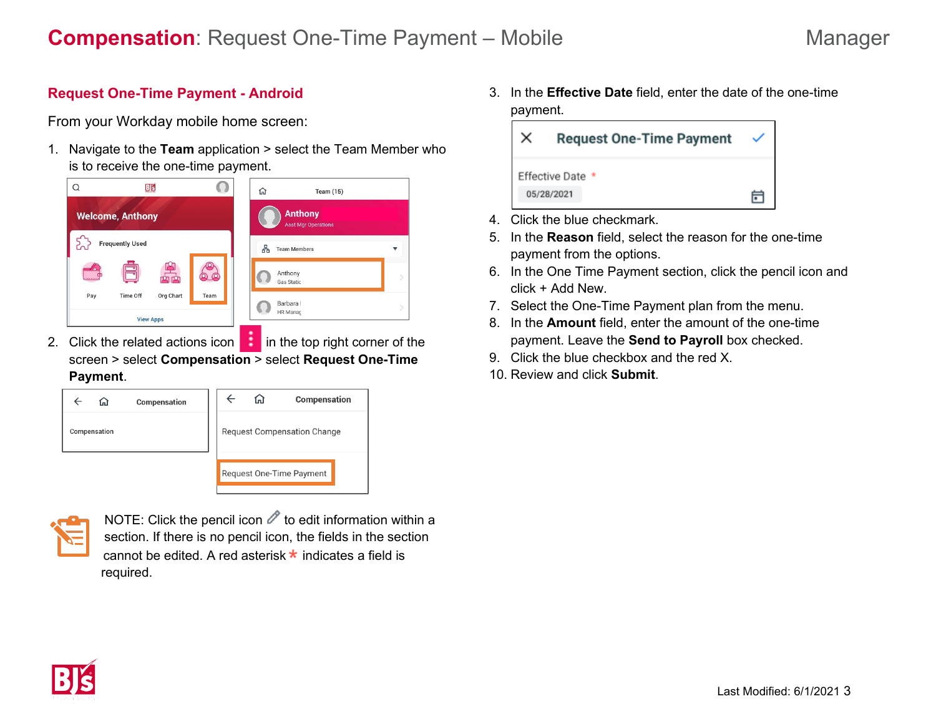## **Request One-Time Payment - Android**

From your Workday mobile home screen:

1. Navigate to the **Team** application > select the Team Member who is to receive the one-time payment.



2. Click the related actions icon **in** the top right corner of the screen > select **Compensation** > select **Request One-Time Payment**.

| Compensation<br>ſп | Compensation<br>Նո                 |
|--------------------|------------------------------------|
| Compensation       | <b>Request Compensation Change</b> |
|                    | Request One-Time Payment           |



NOTE: Click the pencil icon  $\mathscr O$  to edit information within a section. If there is no pencil icon, the fields in the section cannot be edited. A red asterisk  $\star$  indicates a field is required.

3. In the **Effective Date** field, enter the date of the one-time payment.

| <b>Request One-Time Payment</b> |  |
|---------------------------------|--|
| Effective Date *<br>05/28/2021  |  |

- 4. Click the blue checkmark.
- 5. In the **Reason** field, select the reason for the one-time payment from the options.
- 6. In the One Time Payment section, click the pencil icon and click + Add New.
- 7. Select the One-Time Payment plan from the menu.
- 8. In the **Amount** field, enter the amount of the one-time payment. Leave the **Send to Payroll** box checked.
- 9. Click the blue checkbox and the red X.
- 10. Review and click **Submit**.